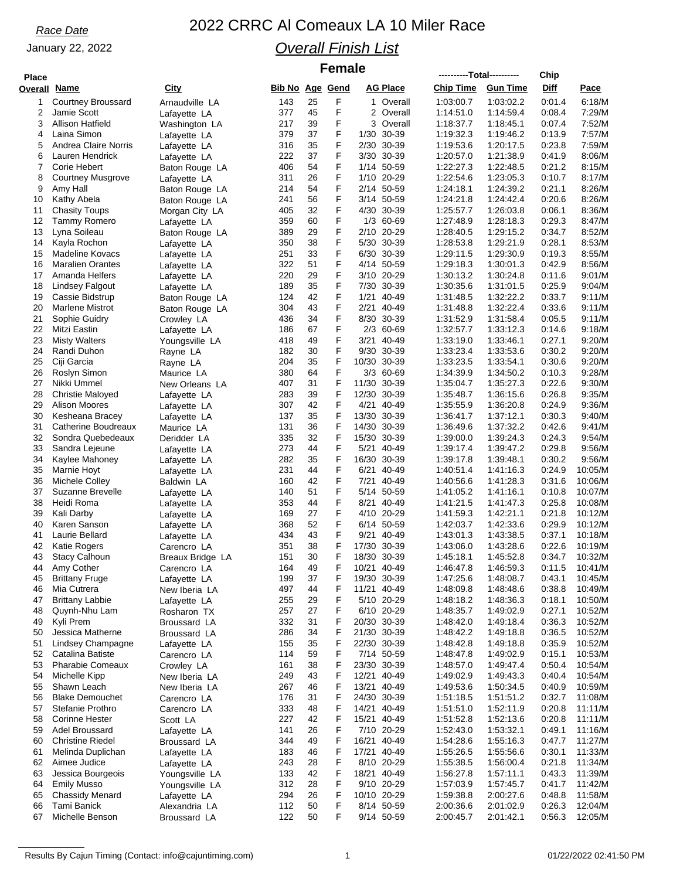### January 22, 2022

# *Race Date* 2022 CRRC Al Comeaux LA 10 Miler Race

### *Overall Finish List*

 $F$ emale

| <b>Place</b>        |                                |                                 |                        |          | <b>VIIIUIV</b> |                          |                 | ----------Total---------- |                        | Chip             |                    |
|---------------------|--------------------------------|---------------------------------|------------------------|----------|----------------|--------------------------|-----------------|---------------------------|------------------------|------------------|--------------------|
| <b>Overall Name</b> |                                | City                            | <b>Bib No Age Gend</b> |          |                |                          | <b>AG Place</b> | <b>Chip Time</b>          | <b>Gun Time</b>        | Diff             | Pace               |
| 1                   | <b>Courtney Broussard</b>      | Arnaudville LA                  | 143                    | 25       | F              |                          | 1 Overall       | 1:03:00.7                 | 1:03:02.2              | 0:01.4           | 6:18/M             |
| 2                   | Jamie Scott                    | Lafayette LA                    | 377                    | 45       | F              |                          | 2 Overall       | 1:14:51.0                 | 1:14:59.4              | 0:08.4           | 7:29/M             |
| 3                   | Allison Hatfield               | Washington LA                   | 217                    | 39       | F              |                          | 3 Overall       | 1:18:37.7                 | 1:18:45.1              | 0:07.4           | 7:52/M             |
| 4                   | Laina Simon                    | Lafayette LA                    | 379                    | 37       | F              | 1/30 30-39               |                 | 1:19:32.3                 | 1:19:46.2              | 0:13.9           | 7:57/M             |
| 5                   | Andrea Claire Norris           | Lafayette LA                    | 316                    | 35       | F              | 2/30 30-39               |                 | 1:19:53.6                 | 1:20:17.5              | 0:23.8           | 7:59/M             |
| 6                   | Lauren Hendrick                | Lafayette LA                    | 222                    | 37       | F              | 3/30 30-39               |                 | 1:20:57.0                 | 1:21:38.9              | 0:41.9           | 8:06/M             |
| 7                   | Corie Hebert                   | Baton Rouge LA                  | 406                    | 54       | F              | 1/14 50-59               |                 | 1.22:27.3                 | 1:22:48.5              | 0:21.2           | 8:15/M             |
| 8                   | <b>Courtney Musgrove</b>       | Lafayette LA                    | 311                    | 26       | F              | 1/10 20-29               |                 | 1:22:54.6                 | 1:23:05.3              | 0:10.7           | 8:17/M             |
| 9                   | Amy Hall                       | Baton Rouge LA                  | 214                    | 54       | F              | 2/14 50-59               |                 | 1:24:18.1                 | 1:24:39.2              | 0:21.1           | 8:26/M             |
| 10                  | Kathy Abela                    | Baton Rouge LA                  | 241                    | 56       | F              | 3/14 50-59               |                 | 1:24:21.8                 | 1:24:42.4              | 0.20.6           | 8:26/M             |
| 11                  | <b>Chasity Toups</b>           | Morgan City LA                  | 405                    | 32       | F              | 4/30 30-39               |                 | 1:25:57.7                 | 1:26:03.8              | 0:06.1           | 8:36/M             |
| 12                  | Tammy Romero                   | Lafayette LA                    | 359                    | 60       | F              | 1/3 60-69                |                 | 1:27:48.9                 | 1:28:18.3              | 0.29.3           | 8:47/M             |
| 13                  | Lyna Soileau                   | Baton Rouge LA                  | 389                    | 29       | F              | 2/10 20-29               |                 | 1:28:40.5                 | 1:29:15.2              | 0:34.7           | 8:52/M             |
| 14                  | Kayla Rochon                   | Lafayette LA                    | 350                    | 38       | F              | 5/30 30-39               |                 | 1:28:53.8                 | 1:29:21.9              | 0:28.1           | 8:53/M             |
| 15                  | Madeline Kovacs                | Lafayette LA                    | 251                    | 33       | F              | 6/30 30-39               |                 | 1:29:11.5                 | 1:29:30.9              | 0:19.3           | 8:55/M             |
| 16                  | <b>Maralien Orantes</b>        | Lafayette LA                    | 322                    | 51       | F              | 4/14 50-59               |                 | 1:29:18.3                 | 1:30:01.3              | 0.42.9           | 8:56/M             |
| 17                  | Amanda Helfers                 | Lafayette LA                    | 220                    | 29       | F              | 3/10 20-29               |                 | 1:30:13.2                 | 1:30:24.8              | 0:11.6           | 9:01/M             |
| 18                  | <b>Lindsey Falgout</b>         | Lafayette LA                    | 189                    | 35       | F              | 7/30 30-39               |                 | 1:30:35.6                 | 1:31:01.5              | 0.25.9           | 9:04/M             |
| 19                  | Cassie Bidstrup                | Baton Rouge LA                  | 124                    | 42       | F              | 1/21 40-49               |                 | 1:31:48.5                 | 1:32:22.2              | 0:33.7           | 9:11/M             |
| 20                  | <b>Marlene Mistrot</b>         | Baton Rouge LA                  | 304                    | 43       | F              | 2/21                     | 40-49           | 1:31:48.8                 | 1:32:22.4              | 0:33.6           | 9:11/M             |
| 21                  | Sophie Guidry                  | Crowley LA                      | 436                    | 34       | F              | 8/30 30-39               |                 | 1:31:52.9                 | 1:31:58.4              | 0:05.5           | 9:11/M             |
| 22                  | Mitzi Eastin                   | Lafayette LA                    | 186                    | 67       | F              |                          | 2/3 60-69       | 1:32:57.7                 | 1:33:12.3              | 0:14.6           | 9:18/M             |
| 23                  | <b>Misty Walters</b>           | Youngsville LA                  | 418                    | 49       | F              | 3/21 40-49               |                 | 1:33:19.0                 | 1:33:46.1              | 0:27.1           | 9:20/M             |
| 24                  | Randi Duhon                    | Rayne LA                        | 182                    | 30       | F              | 9/30 30-39               |                 | 1:33:23.4                 | 1:33:53.6              | 0:30.2           | 9:20/M             |
| 25                  | Ciji Garcia                    | Rayne LA                        | 204                    | 35       | F              | 10/30 30-39              |                 | 1:33:23.5                 | 1:33:54.1              | 0:30.6           | 9.20/M             |
| 26                  | Roslyn Simon                   | Maurice LA                      | 380                    | 64       | F              |                          | 3/3 60-69       | 1:34:39.9                 | 1:34:50.2              | 0:10.3           | 9:28/M             |
| 27                  | Nikki Ummel                    | New Orleans LA                  | 407                    | 31       | F              | 11/30 30-39              |                 | 1:35:04.7                 | 1:35:27.3              | 0:22.6           | 9:30/M             |
| 28                  | <b>Christie Maloyed</b>        | Lafayette LA                    | 283                    | 39       | F              | 12/30 30-39              |                 | 1:35:48.7                 | 1:36:15.6              | 0:26.8           | 9:35/M             |
| 29                  | <b>Alison Moores</b>           | Lafayette LA                    | 307                    | 42       | F              | 4/21 40-49               |                 | 1:35:55.9                 | 1:36:20.8              | 0.24.9           | 9:36/M             |
| 30                  | Kesheana Bracey                | Lafayette LA                    | 137                    | 35       | F              | 13/30 30-39              |                 | 1:36:41.7                 | 1:37:12.1              | 0:30.3           | 9:40/M             |
| 31                  | Catherine Boudreaux            | Maurice LA                      | 131                    | 36       | F              | 14/30 30-39              |                 | 1:36:49.6                 | 1:37:32.2              | 0.42.6           | 9:41/M             |
| 32                  | Sondra Quebedeaux              | Deridder LA                     | 335                    | 32       | F              | 15/30 30-39              |                 | 1:39:00.0                 | 1:39:24.3              | 0:24.3           | 9:54/M             |
| 33                  | Sandra Lejeune                 | Lafayette LA                    | 273                    | 44       | F              | 5/21 40-49               |                 | 1:39:17.4                 | 1:39:47.2              | 0.29.8           | 9:56/M             |
| 34                  | Kaylee Mahoney                 | Lafayette LA                    | 282                    | 35       | F              | 16/30 30-39              |                 | 1:39:17.8                 | 1:39:48.1              | 0:30.2           | 9:56/M             |
| 35                  | Marnie Hoyt                    | Lafayette LA                    | 231                    | 44       | F              | 6/21 40-49               |                 | 1:40:51.4                 | 1:41:16.3              | 0:24.9           | 10:05/M            |
| 36                  | Michele Colley                 | Baldwin LA                      | 160                    | 42       | F              | 7/21                     | 40-49           | 1:40:56.6                 | 1:41:28.3              | 0.31.6           | 10:06/M            |
| 37                  | Suzanne Brevelle               | Lafayette LA                    | 140                    | 51       | F              | 5/14 50-59               |                 | 1:41:05.2                 | 1:41:16.1              | 0:10.8           | 10:07/M            |
| 38                  | Heidi Roma                     | Lafayette LA                    | 353                    | 44       | F              | 8/21 40-49               |                 | 1:41:21.5                 | 1:41:47.3              | 0:25.8           | 10:08/M            |
| 39                  | Kali Darby                     | Lafayette LA                    | 169                    | 27       | F              | 4/10 20-29               |                 | 1:41:59.3                 | 1:42:21.1              | 0:21.8           | 10:12/M            |
| 40<br>41            | Karen Sanson<br>Laurie Bellard | Lafayette LA                    | 368<br>434             | 52<br>43 | F<br>F         | 6/14 50-59<br>9/21 40-49 |                 | 1:42:03.7<br>1:43:01.3    | 1:42:33.6<br>1:43:38.5 | 0.29.9<br>0:37.1 | 10:12/M<br>10:18/M |
| 42                  | Katie Rogers                   | Lafayette LA<br>Carencro LA     | 351                    | 38       | F              | 17/30 30-39              |                 | 1:43:06.0                 | 1:43:28.6              | 0.22.6           | 10:19/M            |
| 43                  | <b>Stacy Calhoun</b>           |                                 | 151                    | 30       | F              | 18/30 30-39              |                 | 1:45:18.1                 | 1:45:52.8              | 0:34.7           | 10:32/M            |
|                     | 44 Amy Cother                  | Breaux Bridge LA<br>Carencro LA | 164                    | 49       | F              | 10/21 40-49              |                 | 1:46:47.8                 | 1:46:59.3              | 0.11.5           | 10:41/M            |
| 45                  | <b>Brittany Fruge</b>          | Lafayette LA                    | 199                    | 37       | F              | 19/30 30-39              |                 | 1:47:25.6                 | 1:48:08.7              | 0:43.1           | 10:45/M            |
| 46                  | Mia Cutrera                    | New Iberia LA                   | 497                    | 44       | F              | 11/21 40-49              |                 | 1:48:09.8                 | 1:48:48.6              | 0:38.8           | 10:49/M            |
| 47                  | <b>Brittany Labbie</b>         | Lafayette LA                    | 255                    | 29       | F              | 5/10 20-29               |                 | 1:48:18.2                 | 1:48:36.3              | 0:18.1           | 10:50/M            |
| 48                  | Quynh-Nhu Lam                  | Rosharon TX                     | 257                    | 27       | F              | 6/10 20-29               |                 | 1:48:35.7                 | 1:49:02.9              | 0.27.1           | 10:52/M            |
| 49                  | Kyli Prem                      | Broussard LA                    | 332                    | 31       | F              | 20/30 30-39              |                 | 1:48:42.0                 | 1:49:18.4              | 0:36.3           | 10:52/M            |
| 50                  | Jessica Matherne               | Broussard LA                    | 286                    | 34       | F              | 21/30 30-39              |                 | 1:48:42.2                 | 1:49:18.8              | 0:36.5           | 10:52/M            |
| 51                  | Lindsey Champagne              | Lafayette LA                    | 155                    | 35       | F              | 22/30 30-39              |                 | 1:48:42.8                 | 1:49:18.8              | 0:35.9           | 10:52/M            |
| 52                  | Catalina Batiste               | Carencro LA                     | 114                    | 59       | F              | 7/14 50-59               |                 | 1:48:47.8                 | 1:49:02.9              | 0:15.1           | 10:53/M            |
| 53                  | <b>Pharabie Comeaux</b>        | Crowley LA                      | 161                    | 38       | F              | 23/30 30-39              |                 | 1:48:57.0                 | 1:49:47.4              | 0:50.4           | 10:54/M            |
| 54                  | Michelle Kipp                  | New Iberia LA                   | 249                    | 43       | F              | 12/21 40-49              |                 | 1:49:02.9                 | 1:49:43.3              | 0:40.4           | 10:54/M            |
| 55                  | Shawn Leach                    | New Iberia LA                   | 267                    | 46       | F              | 13/21 40-49              |                 | 1:49:53.6                 | 1:50:34.5              | 0:40.9           | 10:59/M            |
| 56                  | <b>Blake Demouchet</b>         | Carencro LA                     | 176                    | 31       | F              | 24/30 30-39              |                 | 1:51:18.5                 | 1:51:51.2              | 0:32.7           | 11:08/M            |
| 57                  | Stefanie Prothro               | Carencro LA                     | 333                    | 48       | F              | 14/21 40-49              |                 | 1:51:51.0                 | 1:52:11.9              | 0.20.8           | 11:11/M            |
| 58                  | Corinne Hester                 | Scott LA                        | 227                    | 42       | F              | 15/21 40-49              |                 | 1:51:52.8                 | 1:52:13.6              | 0.20.8           | 11:11/M            |
| 59                  | <b>Adel Broussard</b>          | Lafayette LA                    | 141                    | 26       | F              | 7/10 20-29               |                 | 1:52:43.0                 | 1:53:32.1              | 0.49.1           | 11:16/M            |
| 60                  | <b>Christine Riedel</b>        | Broussard LA                    | 344                    | 49       | F              | 16/21 40-49              |                 | 1:54:28.6                 | 1:55:16.3              | 0:47.7           | 11:27/M            |
| 61                  | Melinda Duplichan              | Lafayette LA                    | 183                    | 46       | F              | 17/21 40-49              |                 | 1:55:26.5                 | 1:55:56.6              | 0:30.1           | 11:33/M            |
| 62                  | Aimee Judice                   | Lafayette LA                    | 243                    | 28       | F              | 8/10 20-29               |                 | 1:55:38.5                 | 1:56:00.4              | 0.21.8           | 11:34/M            |
| 63                  | Jessica Bourgeois              | Youngsville LA                  | 133                    | 42       | F              | 18/21 40-49              |                 | 1:56:27.8                 | 1:57:11.1              | 0.43.3           | 11:39/M            |
| 64                  | Emily Musso                    | Youngsville LA                  | 312                    | 28       | F              | 9/10 20-29               |                 | 1:57:03.9                 | 1:57:45.7              | 0:41.7           | 11:42/M            |
| 65                  | <b>Chassidy Menard</b>         | Lafayette LA                    | 294                    | 26       | F              | 10/10 20-29              |                 | 1:59:38.8                 | 2:00:27.6              | 0:48.8           | 11:58/M            |
| 66                  | Tami Banick                    | Alexandria LA                   | 112                    | 50       | F              | 8/14 50-59               |                 | 2:00:36.6                 | 2:01:02.9              | 0:26.3           | 12:04/M            |
| 67                  | Michelle Benson                | Broussard LA                    | 122                    | 50       | F              | 9/14 50-59               |                 | 2:00:45.7                 | 2:01:42.1              | 0:56.3           | 12:05/M            |
|                     |                                |                                 |                        |          |                |                          |                 |                           |                        |                  |                    |

Results By Cajun Timing (Contact: info@cajuntiming.com) 1 01/22/2022 02:41:50 PM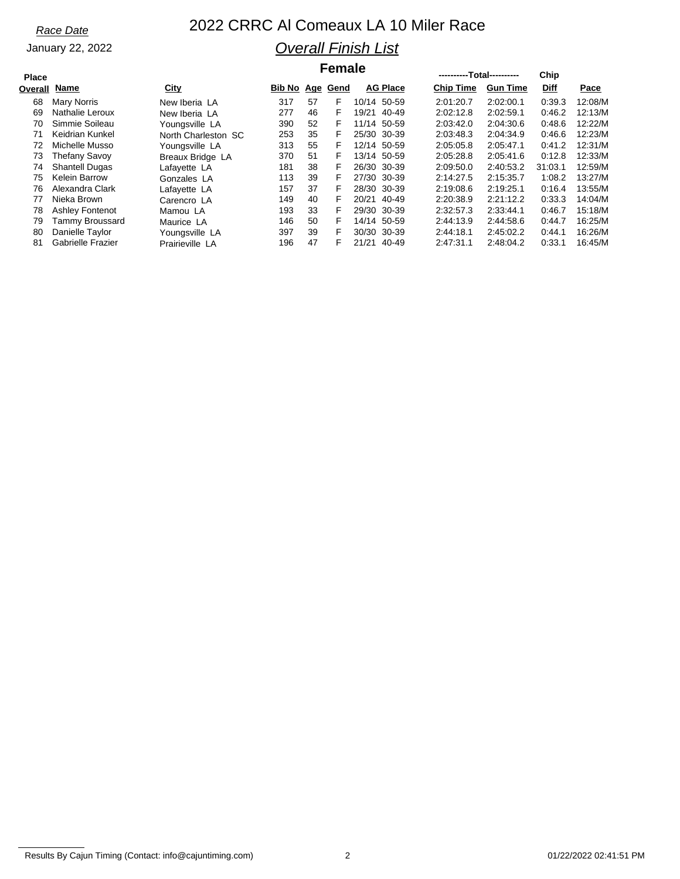January 22, 2022

## *Race Date* 2022 CRRC Al Comeaux LA 10 Miler Race *Overall Finish List*

### $F$ emale

| <b>Place</b> |                          |                     |        | .  |          |       | ----------Total---------- |                  | Chip            |         |         |
|--------------|--------------------------|---------------------|--------|----|----------|-------|---------------------------|------------------|-----------------|---------|---------|
| Overall      | Name                     | <b>City</b>         | Bib No |    | Age Gend |       | <b>AG Place</b>           | <b>Chip Time</b> | <b>Gun Time</b> | Diff    | Pace    |
| 68           | Mary Norris              | New Iberia LA       | 317    | 57 | F        |       | 10/14 50-59               | 2:01:20.7        | 2:02:00.1       | 0:39.3  | 12:08/M |
| 69           | Nathalie Leroux          | New Iberia LA       | 277    | 46 | F        | 19/21 | 40-49                     | 2:02:12.8        | 2:02:59.1       | 0:46.2  | 12:13/M |
| 70           | Simmie Soileau           | Youngsville LA      | 390    | 52 | F        |       | 11/14 50-59               | 2:03:42.0        | 2:04:30.6       | 0.48.6  | 12:22/M |
| 71           | Keidrian Kunkel          | North Charleston SC | 253    | 35 | F        |       | 25/30 30-39               | 2:03:48.3        | 2:04:34.9       | 0.46.6  | 12:23/M |
| 72           | Michelle Musso           | Youngsville LA      | 313    | 55 | F        |       | 12/14 50-59               | 2:05:05.8        | 2:05:47.1       | 0:41.2  | 12:31/M |
| 73           | <b>Thefany Savoy</b>     | Breaux Bridge LA    | 370    | 51 | F        |       | 13/14 50-59               | 2:05:28.8        | 2:05:41.6       | 0:12.8  | 12:33/M |
| 74           | <b>Shantell Dugas</b>    | Lafavette LA        | 181    | 38 | F        |       | 26/30 30-39               | 2:09:50.0        | 2:40:53.2       | 31:03.1 | 12:59/M |
| 75           | <b>Kelein Barrow</b>     | Gonzales LA         | 113    | 39 | F        |       | 27/30 30-39               | 2:14:27.5        | 2:15:35.7       | 1:08.2  | 13:27/M |
| 76           | Alexandra Clark          | Lafayette LA        | 157    | 37 | F        |       | 28/30 30-39               | 2:19:08.6        | 2:19:25.1       | 0:16.4  | 13:55/M |
| 77           | Nieka Brown              | Carencro LA         | 149    | 40 | F        | 20/21 | 40-49                     | 2:20:38.9        | 2:21:12.2       | 0:33.3  | 14:04/M |
| 78           | <b>Ashley Fontenot</b>   | Mamou LA            | 193    | 33 | F        |       | 29/30 30-39               | 2:32:57.3        | 2:33:44.1       | 0:46.7  | 15:18/M |
| 79           | Tammy Broussard          | Maurice LA          | 146    | 50 | F        |       | 14/14 50-59               | 2:44:13.9        | 2:44:58.6       | 0:44.7  | 16:25/M |
| 80           | Danielle Taylor          | Youngsville LA      | 397    | 39 | F        |       | 30/30 30-39               | 2:44:18.1        | 2:45:02.2       | 0.44.1  | 16:26/M |
| 81           | <b>Gabrielle Frazier</b> | Prairieville LA     | 196    | 47 | F        | 21/21 | 40-49                     | 2:47:31.1        | 2:48:04.2       | 0:33.1  | 16:45/M |

Results By Cajun Timing (Contact: info@cajuntiming.com) 2 2 contact: info@cajuntiming.com 2 01/22/2022 02:41:51 PM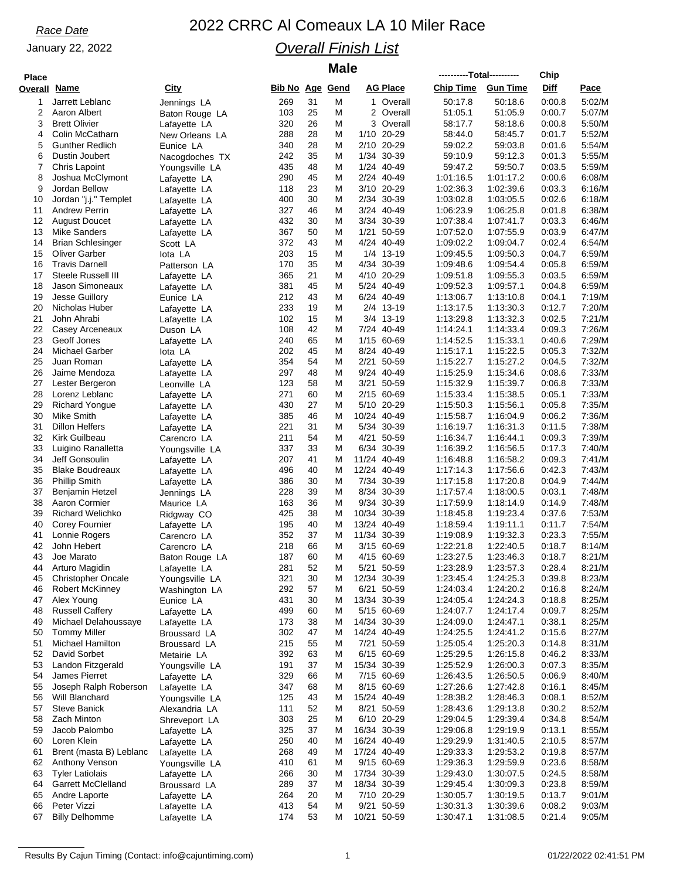### January 22, 2022

## *Race Date* 2022 CRRC Al Comeaux LA 10 Miler Race *Overall Finish List*

| <b>Place</b>        |                                              |                                |                        |          | <b>Male</b> |                             | ----------Total---------- |                        | Chip             |                  |
|---------------------|----------------------------------------------|--------------------------------|------------------------|----------|-------------|-----------------------------|---------------------------|------------------------|------------------|------------------|
| <b>Overall Name</b> |                                              | City                           | <b>Bib No Age Gend</b> |          |             | <b>AG Place</b>             | <b>Chip Time</b>          | <b>Gun Time</b>        | <b>Diff</b>      | Pace             |
| 1                   | Jarrett Leblanc                              | Jennings LA                    | 269                    | 31       | M           | 1 Overall                   | 50:17.8                   | 50:18.6                | 0:00.8           | 5:02/M           |
| 2                   | Aaron Albert                                 | Baton Rouge LA                 | 103                    | 25       | M           | 2 Overall                   | 51:05.1                   | 51:05.9                | 0:00.7           | 5:07/M           |
| 3                   | <b>Brett Olivier</b>                         | Lafayette LA                   | 320                    | 26       | M           | 3 Overall                   | 58:17.7                   | 58:18.6                | 0:00.8           | 5:50/M           |
| 4<br>5              | Colin McCatharn<br><b>Gunther Redlich</b>    | New Orleans LA                 | 288<br>340             | 28<br>28 | M<br>М      | 1/10<br>20-29<br>2/10 20-29 | 58:44.0<br>59:02.2        | 58:45.7<br>59:03.8     | 0:01.7<br>0:01.6 | 5:52/M<br>5:54/M |
| 6                   | Dustin Joubert                               | Eunice LA<br>Nacogdoches TX    | 242                    | 35       | M           | 1/34 30-39                  | 59:10.9                   | 59:12.3                | 0:01.3           | 5:55/M           |
| 7                   | Chris Lapoint                                | Youngsville LA                 | 435                    | 48       | M           | 1/24 40-49                  | 59:47.2                   | 59:50.7                | 0:03.5           | 5:59/M           |
| 8                   | Joshua McClymont                             | Lafayette LA                   | 290                    | 45       | M           | 2/24 40-49                  | 1:01:16.5                 | 1:01:17.2              | 0:00.6           | 6:08/M           |
| 9                   | Jordan Bellow                                | Lafayette LA                   | 118                    | 23       | М           | 3/10 20-29                  | 1:02:36.3                 | 1:02:39.6              | 0:03.3           | 6:16/M           |
| 10                  | Jordan "j.j." Templet                        | Lafayette LA                   | 400                    | 30       | M           | 2/34 30-39                  | 1:03:02.8                 | 1:03:05.5              | 0:02.6           | 6:18/M           |
| 11<br>12            | <b>Andrew Perrin</b><br><b>August Doucet</b> | Lafayette LA                   | 327<br>432             | 46<br>30 | M<br>M      | 3/24 40-49<br>3/34<br>30-39 | 1:06:23.9<br>1:07:38.4    | 1:06:25.8<br>1.07:41.7 | 0.01.8<br>0.03.3 | 6:38/M<br>6:46/M |
| 13                  | <b>Mike Sanders</b>                          | Lafayette LA<br>Lafayette LA   | 367                    | 50       | М           | 1/21 50-59                  | 1:07:52.0                 | 1:07:55.9              | 0:03.9           | 6:47/M           |
| 14                  | <b>Brian Schlesinger</b>                     | Scott LA                       | 372                    | 43       | M           | 4/24 40-49                  | 1:09:02.2                 | 1:09:04.7              | 0:02.4           | 6:54/M           |
| 15                  | <b>Oliver Garber</b>                         | lota LA                        | 203                    | 15       | М           | 1/4 13-19                   | 1:09:45.5                 | 1:09:50.3              | 0:04.7           | 6:59/M           |
| 16                  | <b>Travis Darnell</b>                        | Patterson LA                   | 170                    | 35       | M           | 4/34 30-39                  | 1:09:48.6                 | 1:09:54.4              | 0:05.8           | 6:59/M           |
| 17                  | Steele Russell III                           | Lafayette LA                   | 365                    | 21       | М           | 20-29<br>4/10               | 1:09:51.8                 | 1:09:55.3              | 0:03.5           | 6:59/M           |
| 18<br>19            | Jason Simoneaux<br>Jesse Guillory            | Lafayette LA                   | 381<br>212             | 45<br>43 | M<br>M      | 5/24 40-49<br>6/24 40-49    | 1:09:52.3<br>1:13:06.7    | 1:09:57.1              | 0.04.8<br>0:04.1 | 6:59/M<br>7:19/M |
| 20                  | Nicholas Huber                               | Eunice LA<br>Lafayette LA      | 233                    | 19       | М           | 2/4 13-19                   | 1:13:17.5                 | 1:13:10.8<br>1:13:30.3 | 0:12.7           | 7:20/M           |
| 21                  | John Ahrabi                                  | Lafayette LA                   | 102                    | 15       | М           | 3/4 13-19                   | 1:13:29.8                 | 1:13:32.3              | 0:02.5           | 7:21/M           |
| 22                  | Casey Arceneaux                              | Duson LA                       | 108                    | 42       | M           | 7/24 40-49                  | 1:14:24.1                 | 1:14:33.4              | 0:09.3           | 7:26/M           |
| 23                  | Geoff Jones                                  | Lafayette LA                   | 240                    | 65       | M           | 1/15 60-69                  | 1:14:52.5                 | 1:15:33.1              | 0.40.6           | 7:29/M           |
| 24                  | Michael Garber                               | lota LA                        | 202                    | 45       | M           | 8/24 40-49                  | 1:15:17.1                 | 1:15:22.5              | 0:05.3           | 7:32/M           |
| 25                  | Juan Roman                                   | Lafayette LA                   | 354                    | 54       | М           | 2/21<br>50-59               | 1:15:22.7                 | 1:15:27.2              | 0:04.5           | 7:32/M           |
| 26                  | Jaime Mendoza                                | Lafayette LA                   | 297                    | 48       | M<br>M      | 9/24 40-49                  | 1:15:25.9                 | 1:15:34.6              | 0:08.6           | 7:33/M           |
| 27<br>28            | Lester Bergeron<br>Lorenz Leblanc            | Leonville LA<br>Lafayette LA   | 123<br>271             | 58<br>60 | M           | 3/21<br>50-59<br>2/15 60-69 | 1:15:32.9<br>1:15:33.4    | 1:15:39.7<br>1:15:38.5 | 0.06.8<br>0:05.1 | 7:33/M<br>7:33/M |
| 29                  | <b>Richard Yongue</b>                        | Lafayette LA                   | 430                    | 27       | М           | 5/10 20-29                  | 1:15:50.3                 | 1:15:56.1              | 0:05.8           | 7:35/M           |
| 30                  | Mike Smith                                   | Lafayette LA                   | 385                    | 46       | M           | 10/24 40-49                 | 1:15:58.7                 | 1:16:04.9              | 0:06.2           | 7:36/M           |
| 31                  | <b>Dillon Helfers</b>                        | Lafayette LA                   | 221                    | 31       | M           | 5/34<br>30-39               | 1:16:19.7                 | 1:16:31.3              | 0:11.5           | 7:38/M           |
| 32                  | Kirk Guilbeau                                | Carencro LA                    | 211                    | 54       | M           | 4/21 50-59                  | 1:16:34.7                 | 1:16:44.1              | 0:09.3           | 7:39/M           |
| 33                  | Luigino Ranalletta                           | Youngsville LA                 | 337                    | 33       | M           | 6/34<br>30-39               | 1:16:39.2                 | 1:16:56.5              | 0:17.3           | 7:40/M           |
| 34<br>35            | Jeff Gonsoulin<br><b>Blake Boudreaux</b>     | Lafayette LA                   | 207<br>496             | 41<br>40 | M<br>M      | 11/24 40-49<br>12/24 40-49  | 1:16:48.8<br>1:17:14.3    | 1:16:58.2<br>1:17:56.6 | 0:09.3<br>0:42.3 | 7:41/M<br>7:43/M |
| 36                  | <b>Phillip Smith</b>                         | Lafayette LA<br>Lafayette LA   | 386                    | 30       | M           | 7/34<br>30-39               | 1:17:15.8                 | 1:17:20.8              | 0:04.9           | 7:44/M           |
| 37                  | Benjamin Hetzel                              | Jennings LA                    | 228                    | 39       | М           | 8/34 30-39                  | 1:17:57.4                 | 1:18:00.5              | 0:03.1           | 7:48/M           |
| 38                  | Aaron Cormier                                | Maurice LA                     | 163                    | 36       | M           | 9/34 30-39                  | 1:17:59.9                 | 1:18:14.9              | 0:14.9           | 7:48/M           |
| 39                  | <b>Richard Welichko</b>                      | Ridgway CO                     | 425                    | 38       | M           | 10/34<br>30-39              | 1:18:45.8                 | 1:19:23.4              | 0.37.6           | 7:53/M           |
| 40                  | <b>Corey Fournier</b>                        | Lafayette LA                   | 195                    | 40       | M           | 13/24 40-49                 | 1:18:59.4                 | 1:19:11.1              | 0:11.7           | 7:54/M           |
| 41                  | Lonnie Rogers                                | Carencro LA                    | 352                    | 37       | M           | 11/34<br>30-39              | 1:19:08.9                 | 1:19:32.3              | 0.23.3           | 7:55/M           |
| 42<br>43            | John Hebert<br>Joe Marato                    | Carencro LA                    | 218<br>187             | 66<br>60 | М<br>М      | 3/15 60-69<br>4/15 60-69    | 1:22:21.8<br>1:23:27.5    | 1:22:40.5<br>1:23:46.3 | 0:18.7<br>0:18.7 | 8:14/M<br>8:21/M |
| 44                  | Arturo Magidin                               | Baton Rouge LA<br>Lafayette LA | 281                    | 52       | M           | 50-59<br>5/21               | 1:23:28.9                 | 1:23:57.3              | 0.28.4           | 8:21/M           |
| 45                  | <b>Christopher Oncale</b>                    | Youngsville LA                 | 321                    | 30       | M           | 12/34 30-39                 | 1:23:45.4                 | 1:24:25.3              | 0:39.8           | 8:23/M           |
| 46                  | Robert McKinney                              | Washington LA                  | 292                    | 57       | M           | 6/21 50-59                  | 1:24:03.4                 | 1:24:20.2              | 0:16.8           | 8:24/M           |
| 47                  | Alex Young                                   | Eunice LA                      | 431                    | 30       | M           | 13/34 30-39                 | 1:24:05.4                 | 1:24:24.3              | 0:18.8           | 8:25/M           |
| 48                  | <b>Russell Caffery</b>                       | Lafayette LA                   | 499                    | 60       | M           | 5/15 60-69                  | 1:24:07.7                 | 1:24:17.4              | 0:09.7           | 8:25/M           |
| 49                  | Michael Delahoussaye                         | Lafayette LA                   | 173                    | 38       | M           | 14/34 30-39                 | 1:24:09.0                 | 1:24:47.1              | 0:38.1           | 8:25/M           |
| 50<br>51            | <b>Tommy Miller</b><br>Michael Hamilton      | Broussard LA<br>Broussard LA   | 302<br>215             | 47<br>55 | M<br>M      | 14/24 40-49<br>7/21 50-59   | 1:24:25.5<br>1:25:05.4    | 1:24:41.2<br>1:25:20.3 | 0:15.6<br>0:14.8 | 8:27/M<br>8:31/M |
| 52                  | David Sorbet                                 | Metairie LA                    | 392                    | 63       | M           | 6/15 60-69                  | 1:25:29.5                 | 1:26:15.8              | 0:46.2           | 8:33/M           |
| 53                  | Landon Fitzgerald                            | Youngsville LA                 | 191                    | 37       | M           | 15/34 30-39                 | 1:25:52.9                 | 1:26:00.3              | 0:07.3           | 8:35/M           |
| 54                  | James Pierret                                | Lafayette LA                   | 329                    | 66       | M           | 7/15 60-69                  | 1:26:43.5                 | 1:26:50.5              | 0:06.9           | 8:40/M           |
| 55                  | Joseph Ralph Roberson                        | Lafayette LA                   | 347                    | 68       | M           | 8/15 60-69                  | 1:27:26.6                 | 1:27:42.8              | 0:16.1           | 8:45/M           |
| 56                  | Will Blanchard                               | Youngsville LA                 | 125                    | 43       | M           | 15/24 40-49                 | 1:28:38.2                 | 1:28:46.3              | 0:08.1           | 8:52/M           |
| 57                  | <b>Steve Banick</b>                          | Alexandria LA                  | 111                    | 52       | M           | 8/21 50-59                  | 1:28:43.6                 | 1:29:13.8              | 0:30.2           | 8:52/M           |
| 58<br>59            | Zach Minton<br>Jacob Palombo                 | Shreveport LA                  | 303<br>325             | 25<br>37 | M<br>M      | 6/10 20-29<br>16/34 30-39   | 1:29:04.5<br>1:29:06.8    | 1:29:39.4<br>1:29:19.9 | 0.34.8<br>0:13.1 | 8:54/M<br>8:55/M |
| 60                  | Loren Klein                                  | Lafayette LA<br>Lafayette LA   | 250                    | 40       | M           | 16/24 40-49                 | 1:29:29.9                 | 1:31:40.5              | 2:10.5           | 8:57/M           |
| 61                  | Brent (masta B) Leblanc                      | Lafayette LA                   | 268                    | 49       | M           | 17/24 40-49                 | 1:29:33.3                 | 1:29:53.2              | 0:19.8           | 8:57/M           |
| 62                  | Anthony Venson                               | Youngsville LA                 | 410                    | 61       | M           | 9/15 60-69                  | 1:29:36.3                 | 1:29:59.9              | 0:23.6           | 8:58/M           |
| 63                  | <b>Tyler Latiolais</b>                       | Lafayette LA                   | 266                    | 30       | M           | 17/34 30-39                 | 1:29:43.0                 | 1:30:07.5              | 0.24.5           | 8:58/M           |
| 64                  | <b>Garrett McClelland</b>                    | Broussard LA                   | 289                    | 37       | M           | 18/34 30-39                 | 1:29:45.4                 | 1:30:09.3              | 0:23.8           | 8:59/M           |
| 65                  | Andre Laporte                                | Lafayette LA                   | 264                    | 20       | M           | 7/10 20-29                  | 1:30:05.7                 | 1:30:19.5              | 0:13.7           | 9:01/M           |
| 66<br>67            | Peter Vizzi<br><b>Billy Delhomme</b>         | Lafayette LA                   | 413<br>174             | 54<br>53 | M<br>Μ      | 9/21 50-59<br>10/21 50-59   | 1:30:31.3<br>1:30:47.1    | 1:30:39.6<br>1:31:08.5 | 0:08.2<br>0:21.4 | 9:03/M<br>9:05/M |
|                     |                                              | Lafayette LA                   |                        |          |             |                             |                           |                        |                  |                  |